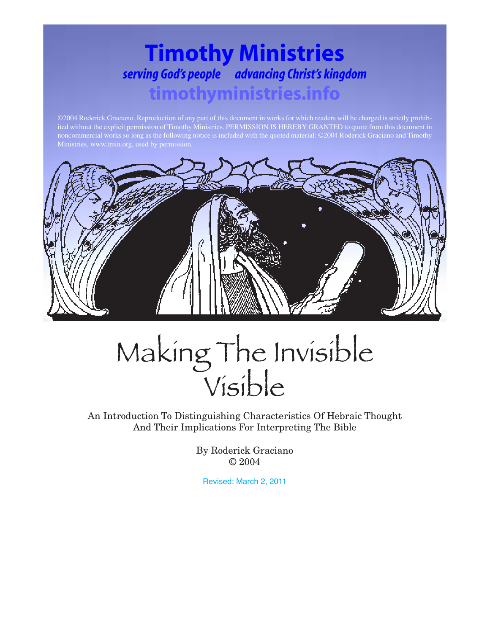# **Timothy Ministries** *serving God's people advancing Christ's kingdom* **timothyministries.info**

©2004 Roderick Graciano. Reproduction of any part of this document in works for which readers will be charged is strictly prohibited without the explicit permission of Timothy Ministries. PERMISSION IS HEREBY GRANTED to quote from this document in



# Making The Invisible

An Introduction To Distinguishing Characteristics Of Hebraic Thought And Their Implications For Interpreting The Bible

> By Roderick Graciano © 2004

Revised: March 2, 2011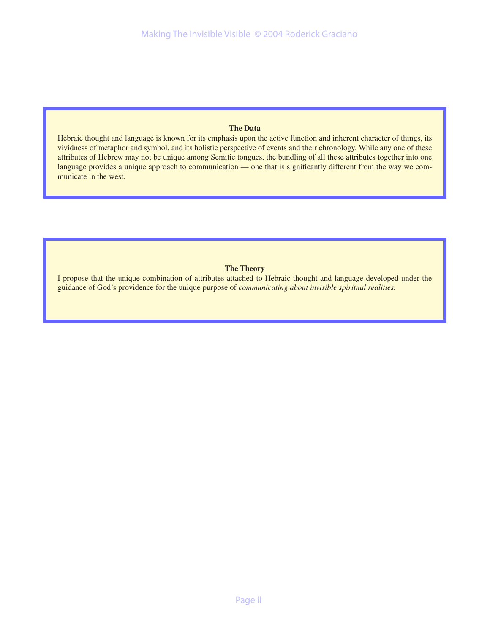#### **The Data**

Hebraic thought and language is known for its emphasis upon the active function and inherent character of things, its vividness of metaphor and symbol, and its holistic perspective of events and their chronology. While any one of these attributes of Hebrew may not be unique among Semitic tongues, the bundling of all these attributes together into one language provides a unique approach to communication — one that is significantly different from the way we communicate in the west.

#### **The Theory**

I propose that the unique combination of attributes attached to Hebraic thought and language developed under the guidance of God's providence for the unique purpose of *communicating about invisible spiritual realities.*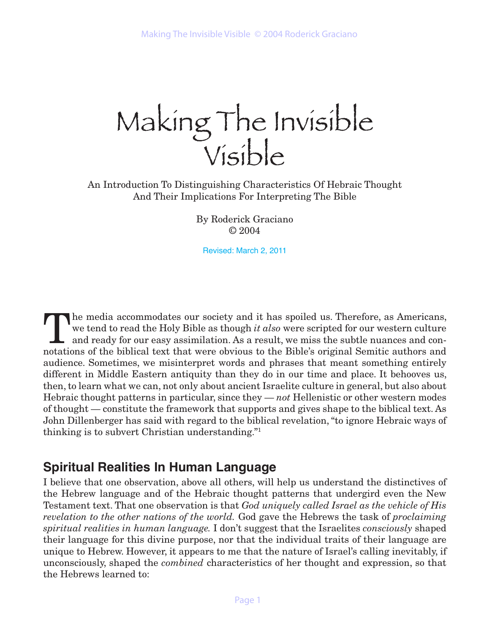Making The Invisible

An Introduction To Distinguishing Characteristics Of Hebraic Thought And Their Implications For Interpreting The Bible

> By Roderick Graciano © 2004

Revised: March 2, 2011

The media accommodates our society and it has spoiled us. Therefore, as Americans,<br>we tend to read the Holy Bible as though *it also* were scripted for our western culture<br>and ready for our easy assimilation. As a result, we tend to read the Holy Bible as though *it also* were scripted for our western culture and ready for our easy assimilation. As a result, we miss the subtle nuances and connotations of the biblical text that were obvious to the Bible's original Semitic authors and audience. Sometimes, we misinterpret words and phrases that meant something entirely different in Middle Eastern antiquity than they do in our time and place. It behooves us, then, to learn what we can, not only about ancient Israelite culture in general, but also about Hebraic thought patterns in particular, since they — *not* Hellenistic or other western modes of thought — constitute the framework that supports and gives shape to the biblical text. As John Dillenberger has said with regard to the biblical revelation, "to ignore Hebraic ways of thinking is to subvert Christian understanding."1

# **Spiritual Realities In Human Language**

I believe that one observation, above all others, will help us understand the distinctives of the Hebrew language and of the Hebraic thought patterns that undergird even the New Testament text. That one observation is that *God uniquely called Israel as the vehicle of His revelation to the other nations of the world.* God gave the Hebrews the task of *proclaiming spiritual realities in human language.* I don't suggest that the Israelites *consciously* shaped their language for this divine purpose, nor that the individual traits of their language are unique to Hebrew. However, it appears to me that the nature of Israel's calling inevitably, if unconsciously, shaped the *combined* characteristics of her thought and expression, so that the Hebrews learned to: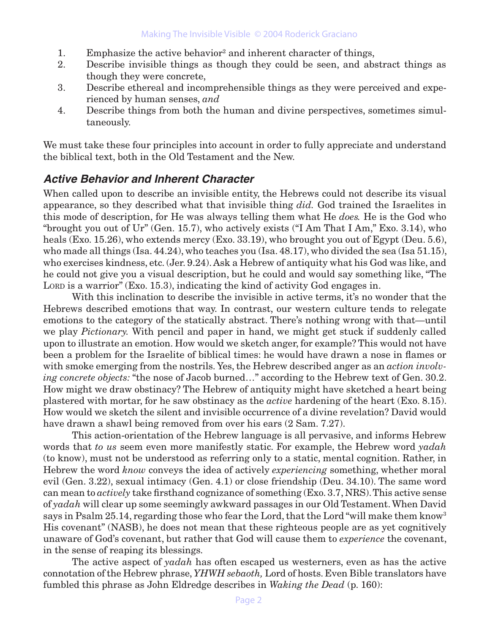- 1. Emphasize the active behavior<sup>2</sup> and inherent character of things,
- 2. Describe invisible things as though they could be seen, and abstract things as though they were concrete,
- 3. Describe ethereal and incomprehensible things as they were perceived and experienced by human senses, *and*
- 4. Describe things from both the human and divine perspectives, sometimes simultaneously.

We must take these four principles into account in order to fully appreciate and understand the biblical text, both in the Old Testament and the New.

#### **Active Behavior and Inherent Character**

When called upon to describe an invisible entity, the Hebrews could not describe its visual appearance, so they described what that invisible thing *did.* God trained the Israelites in this mode of description, for He was always telling them what He *does.* He is the God who "brought you out of Ur" (Gen. 15.7), who actively exists ("I Am That I Am," Exo. 3.14), who heals (Exo. 15.26), who extends mercy (Exo. 33.19), who brought you out of Egypt (Deu. 5.6), who made all things (Isa. 44.24), who teaches you (Isa. 48.17), who divided the sea (Isa 51.15), who exercises kindness, etc. (Jer. 9.24). Ask a Hebrew of antiquity what his God was like, and he could not give you a visual description, but he could and would say something like, "The LORD is a warrior" (Exo. 15.3), indicating the kind of activity God engages in.

With this inclination to describe the invisible in active terms, it's no wonder that the Hebrews described emotions that way. In contrast, our western culture tends to relegate emotions to the category of the statically abstract. There's nothing wrong with that—until we play *Pictionary.* With pencil and paper in hand, we might get stuck if suddenly called upon to illustrate an emotion. How would we sketch anger, for example? This would not have been a problem for the Israelite of biblical times: he would have drawn a nose in flames or with smoke emerging from the nostrils. Yes, the Hebrew described anger as an *action involving concrete objects:* "the nose of Jacob burned…" according to the Hebrew text of Gen. 30.2. How might we draw obstinacy? The Hebrew of antiquity might have sketched a heart being plastered with mortar, for he saw obstinacy as the *active* hardening of the heart (Exo. 8.15). How would we sketch the silent and invisible occurrence of a divine revelation? David would have drawn a shawl being removed from over his ears (2 Sam. 7.27).

This action-orientation of the Hebrew language is all pervasive, and informs Hebrew words that *to us* seem even more manifestly static. For example, the Hebrew word *yadah* (to know), must not be understood as referring only to a static, mental cognition. Rather, in Hebrew the word *know* conveys the idea of actively *experiencing* something, whether moral evil (Gen. 3.22), sexual intimacy (Gen. 4.1) or close friendship (Deu. 34.10). The same word can mean to *actively* take firsthand cognizance of something (Exo. 3.7, NRS). This active sense of *yadah* will clear up some seemingly awkward passages in our Old Testament. When David says in Psalm 25.14, regarding those who fear the Lord, that the Lord "will make them know" His covenant" (NASB), he does not mean that these righteous people are as yet cognitively unaware of God's covenant, but rather that God will cause them to *experience* the covenant, in the sense of reaping its blessings.

The active aspect of *yadah* has often escaped us westerners, even as has the active connotation of the Hebrew phrase, *YHWH sebaoth,* Lord of hosts. Even Bible translators have fumbled this phrase as John Eldredge describes in *Waking the Dead* (p. 160):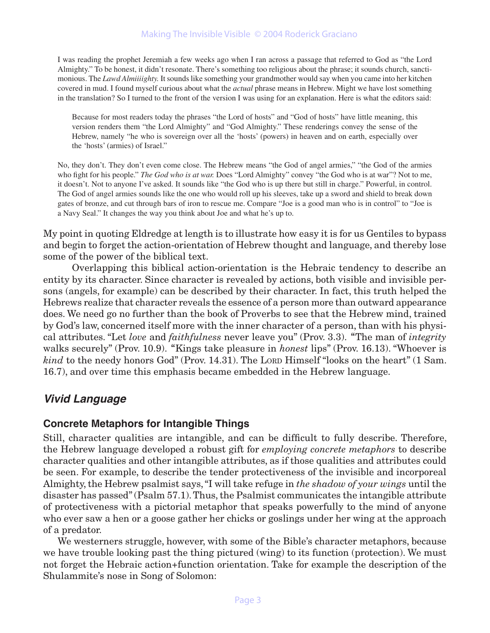I was reading the prophet Jeremiah a few weeks ago when I ran across a passage that referred to God as "the Lord Almighty." To be honest, it didn't resonate. There's something too religious about the phrase; it sounds church, sanctimonious. The *Lawd Almiiiighty.* It sounds like something your grandmother would say when you came into her kitchen covered in mud. I found myself curious about what the *actual* phrase means in Hebrew. Might we have lost something in the translation? So I turned to the front of the version I was using for an explanation. Here is what the editors said:

Because for most readers today the phrases "the Lord of hosts" and "God of hosts" have little meaning, this version renders them "the Lord Almighty" and "God Almighty." These renderings convey the sense of the Hebrew, namely "he who is sovereign over all the 'hosts' (powers) in heaven and on earth, especially over the 'hosts' (armies) of Israel."

No, they don't. They don't even come close. The Hebrew means "the God of angel armies," "the God of the armies who fight for his people." *The God who is at war.* Does "Lord Almighty" convey "the God who is at war"? Not to me, it doesn't. Not to anyone I've asked. It sounds like "the God who is up there but still in charge." Powerful, in control. The God of angel armies sounds like the one who would roll up his sleeves, take up a sword and shield to break down gates of bronze, and cut through bars of iron to rescue me. Compare "Joe is a good man who is in control" to "Joe is a Navy Seal." It changes the way you think about Joe and what he's up to.

My point in quoting Eldredge at length is to illustrate how easy it is for us Gentiles to bypass and begin to forget the action-orientation of Hebrew thought and language, and thereby lose some of the power of the biblical text.

Overlapping this biblical action-orientation is the Hebraic tendency to describe an entity by its character. Since character is revealed by actions, both visible and invisible persons (angels, for example) can be described by their character. In fact, this truth helped the Hebrews realize that character reveals the essence of a person more than outward appearance does. We need go no further than the book of Proverbs to see that the Hebrew mind, trained by God's law, concerned itself more with the inner character of a person, than with his physical attributes. "Let *love* and *faithfulness* never leave you" (Prov. 3.3). "The man of *integrity* walks securely" (Prov. 10.9). "Kings take pleasure in *honest* lips" (Prov. 16.13). "Whoever is *kind* to the needy honors God" (Prov. 14.31). The LORD Himself "looks on the heart" (1 Sam. 16.7), and over time this emphasis became embedded in the Hebrew language.

# **Vivid Language**

#### **Concrete Metaphors for Intangible Things**

Still, character qualities are intangible, and can be difficult to fully describe. Therefore, the Hebrew language developed a robust gift for *employing concrete metaphors* to describe character qualities and other intangible attributes, as if those qualities and attributes could be seen. For example, to describe the tender protectiveness of the invisible and incorporeal Almighty, the Hebrew psalmist says, "I will take refuge in *the shadow of your wings* until the disaster has passed" (Psalm 57.1). Thus, the Psalmist communicates the intangible attribute of protectiveness with a pictorial metaphor that speaks powerfully to the mind of anyone who ever saw a hen or a goose gather her chicks or goslings under her wing at the approach of a predator.

We westerners struggle, however, with some of the Bible's character metaphors, because we have trouble looking past the thing pictured (wing) to its function (protection). We must not forget the Hebraic action+function orientation. Take for example the description of the Shulammite's nose in Song of Solomon: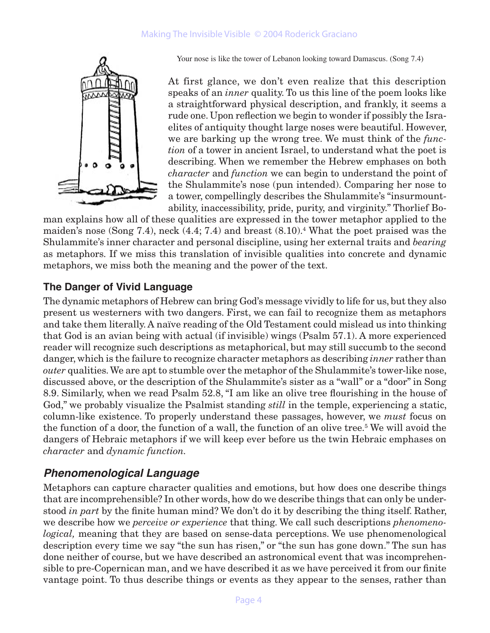#### Making The Invisible Visible © 2004 Roderick Graciano



Your nose is like the tower of Lebanon looking toward Damascus. (Song 7.4)

At first glance, we don't even realize that this description speaks of an *inner* quality. To us this line of the poem looks like a straightforward physical description, and frankly, it seems a rude one. Upon reflection we begin to wonder if possibly the Israelites of antiquity thought large noses were beautiful. However, we are barking up the wrong tree. We must think of the *function* of a tower in ancient Israel, to understand what the poet is describing. When we remember the Hebrew emphases on both *character* and *function* we can begin to understand the point of the Shulammite's nose (pun intended). Comparing her nose to a tower, compellingly describes the Shulammite's "insurmountability, inaccessibility, pride, purity, and virginity." Thorlief Bo-

man explains how all of these qualities are expressed in the tower metaphor applied to the maiden's nose (Song 7.4), neck (4.4; 7.4) and breast (8.10).<sup>4</sup> What the poet praised was the Shulammite's inner character and personal discipline, using her external traits and *bearing* as metaphors. If we miss this translation of invisible qualities into concrete and dynamic metaphors, we miss both the meaning and the power of the text.

#### **The Danger of Vivid Language**

The dynamic metaphors of Hebrew can bring God's message vividly to life for us, but they also present us westerners with two dangers. First, we can fail to recognize them as metaphors and take them literally. A naïve reading of the Old Testament could mislead us into thinking that God is an avian being with actual (if invisible) wings (Psalm 57.1). A more experienced reader will recognize such descriptions as metaphorical, but may still succumb to the second danger, which is the failure to recognize character metaphors as describing *inner* rather than *outer* qualities. We are apt to stumble over the metaphor of the Shulammite's tower-like nose, discussed above, or the description of the Shulammite's sister as a "wall" or a "door" in Song 8.9. Similarly, when we read Psalm 52.8, "I am like an olive tree flourishing in the house of God," we probably visualize the Psalmist standing *still* in the temple, experiencing a static, column-like existence. To properly understand these passages, however, we *must* focus on the function of a door, the function of a wall, the function of an olive tree.<sup>5</sup> We will avoid the dangers of Hebraic metaphors if we will keep ever before us the twin Hebraic emphases on *character* and *dynamic function.*

#### **Phenomenological Language**

Metaphors can capture character qualities and emotions, but how does one describe things that are incomprehensible? In other words, how do we describe things that can only be understood *in part* by the finite human mind? We don't do it by describing the thing itself. Rather, we describe how we *perceive or experience* that thing. We call such descriptions *phenomenological,* meaning that they are based on sense-data perceptions. We use phenomenological description every time we say "the sun has risen," or "the sun has gone down." The sun has done neither of course, but we have described an astronomical event that was incomprehensible to pre-Copernican man, and we have described it as we have perceived it from our finite vantage point. To thus describe things or events as they appear to the senses, rather than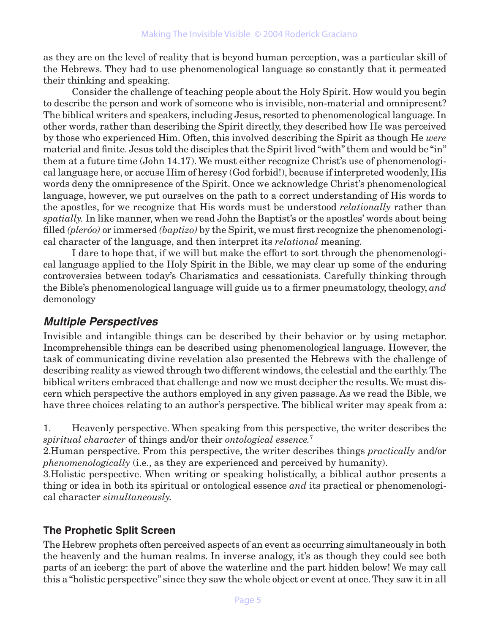as they are on the level of reality that is beyond human perception, was a particular skill of the Hebrews. They had to use phenomenological language so constantly that it permeated their thinking and speaking.

Consider the challenge of teaching people about the Holy Spirit. How would you begin to describe the person and work of someone who is invisible, non-material and omnipresent? The biblical writers and speakers, including Jesus, resorted to phenomenological language. In other words, rather than describing the Spirit directly, they described how He was perceived by those who experienced Him. Often, this involved describing the Spirit as though He *were* material and finite. Jesus told the disciples that the Spirit lived "with" them and would be "in" them at a future time (John 14.17). We must either recognize Christ's use of phenomenological language here, or accuse Him of heresy (God forbid!), because if interpreted woodenly, His words deny the omnipresence of the Spirit. Once we acknowledge Christ's phenomenological language, however, we put ourselves on the path to a correct understanding of His words to the apostles, for we recognize that His words must be understood *relationally* rather than *spatially.* In like manner, when we read John the Baptist's or the apostles' words about being filled *(pleróo)* or immersed *(baptizo)* by the Spirit, we must first recognize the phenomenological character of the language, and then interpret its *relational* meaning.

I dare to hope that, if we will but make the effort to sort through the phenomenological language applied to the Holy Spirit in the Bible, we may clear up some of the enduring controversies between today's Charismatics and cessationists. Carefully thinking through the Bible's phenomenological language will guide us to a firmer pneumatology, theology, *and* demonology

# **Multiple Perspectives**

Invisible and intangible things can be described by their behavior or by using metaphor. Incomprehensible things can be described using phenomenological language. However, the task of communicating divine revelation also presented the Hebrews with the challenge of describing reality as viewed through two different windows, the celestial and the earthly. The biblical writers embraced that challenge and now we must decipher the results. We must discern which perspective the authors employed in any given passage. As we read the Bible, we have three choices relating to an author's perspective. The biblical writer may speak from a:

1. Heavenly perspective. When speaking from this perspective, the writer describes the *spiritual character* of things and/or their *ontological essence.*<sup>7</sup>

2.Human perspective. From this perspective, the writer describes things *practically* and/or *phenomenologically* (i.e., as they are experienced and perceived by humanity).

3.Holistic perspective. When writing or speaking holistically, a biblical author presents a thing or idea in both its spiritual or ontological essence *and* its practical or phenomenological character *simultaneously.*

# **The Prophetic Split Screen**

The Hebrew prophets often perceived aspects of an event as occurring simultaneously in both the heavenly and the human realms. In inverse analogy, it's as though they could see both parts of an iceberg: the part of above the waterline and the part hidden below! We may call this a "holistic perspective" since they saw the whole object or event at once. They saw it in all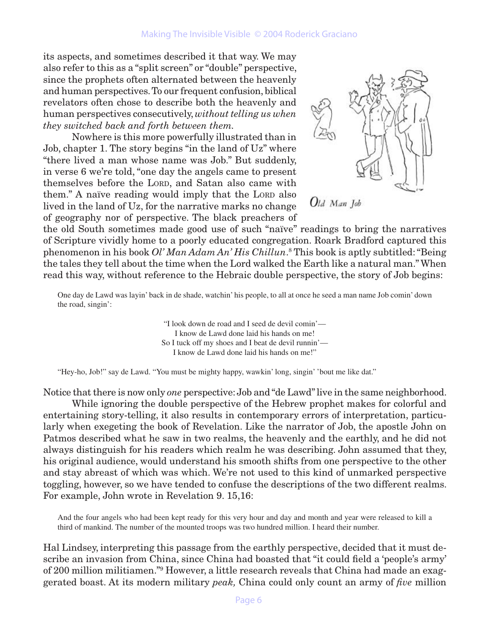its aspects, and sometimes described it that way. We may also refer to this as a "split screen" or "double" perspective, since the prophets often alternated between the heavenly and human perspectives. To our frequent confusion, biblical revelators often chose to describe both the heavenly and human perspectives consecutively, *without telling us when they switched back and forth between them.*

Nowhere is this more powerfully illustrated than in Job, chapter 1. The story begins "in the land of Uz" where "there lived a man whose name was Job." But suddenly, in verse 6 we're told, "one day the angels came to present themselves before the LORD, and Satan also came with them." A naïve reading would imply that the Lord also lived in the land of Uz, for the narrative marks no change of geography nor of perspective. The black preachers of



Old Man Job

the old South sometimes made good use of such "naïve" readings to bring the narratives of Scripture vividly home to a poorly educated congregation. Roark Bradford captured this phenomenon in his book *Ol' Man Adam An' His Chillun*. 8 This book is aptly subtitled: "Being the tales they tell about the time when the Lord walked the Earth like a natural man." When read this way, without reference to the Hebraic double perspective, the story of Job begins:

One day de Lawd was layin' back in de shade, watchin' his people, to all at once he seed a man name Job comin' down the road, singin':

> "I look down de road and I seed de devil comin'— I know de Lawd done laid his hands on me! So I tuck off my shoes and I beat de devil runnin'— I know de Lawd done laid his hands on me!"

"Hey-ho, Job!" say de Lawd. "You must be mighty happy, wawkin' long, singin' 'bout me like dat."

Notice that there is now only *one* perspective: Job and "de Lawd" live in the same neighborhood. While ignoring the double perspective of the Hebrew prophet makes for colorful and entertaining story-telling, it also results in contemporary errors of interpretation, particularly when exegeting the book of Revelation. Like the narrator of Job, the apostle John on Patmos described what he saw in two realms, the heavenly and the earthly, and he did not always distinguish for his readers which realm he was describing. John assumed that they, his original audience, would understand his smooth shifts from one perspective to the other and stay abreast of which was which. We're not used to this kind of unmarked perspective toggling, however, so we have tended to confuse the descriptions of the two different realms. For example, John wrote in Revelation 9. 15,16:

And the four angels who had been kept ready for this very hour and day and month and year were released to kill a third of mankind. The number of the mounted troops was two hundred million. I heard their number.

Hal Lindsey, interpreting this passage from the earthly perspective, decided that it must describe an invasion from China, since China had boasted that "it could field a 'people's army' of 200 million militiamen."9 However, a little research reveals that China had made an exaggerated boast. At its modern military *peak,* China could only count an army of *five* million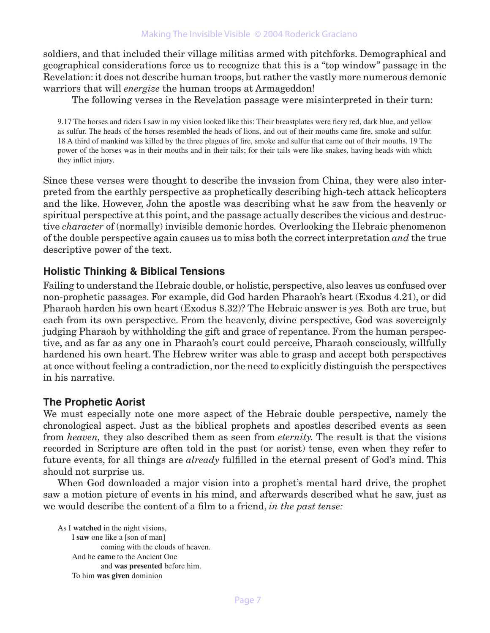soldiers, and that included their village militias armed with pitchforks. Demographical and geographical considerations force us to recognize that this is a "top window" passage in the Revelation: it does not describe human troops, but rather the vastly more numerous demonic warriors that will *energize* the human troops at Armageddon!

The following verses in the Revelation passage were misinterpreted in their turn:

9.17 The horses and riders I saw in my vision looked like this: Their breastplates were fiery red, dark blue, and yellow as sulfur. The heads of the horses resembled the heads of lions, and out of their mouths came fire, smoke and sulfur. 18 A third of mankind was killed by the three plagues of fire, smoke and sulfur that came out of their mouths. 19 The power of the horses was in their mouths and in their tails; for their tails were like snakes, having heads with which they inflict injury.

Since these verses were thought to describe the invasion from China, they were also interpreted from the earthly perspective as prophetically describing high-tech attack helicopters and the like. However, John the apostle was describing what he saw from the heavenly or spiritual perspective at this point, and the passage actually describes the vicious and destructive *character* of (normally) invisible demonic hordes*.* Overlooking the Hebraic phenomenon of the double perspective again causes us to miss both the correct interpretation *and* the true descriptive power of the text.

#### **Holistic Thinking & Biblical Tensions**

Failing to understand the Hebraic double, or holistic, perspective, also leaves us confused over non-prophetic passages. For example, did God harden Pharaoh's heart (Exodus 4.21), or did Pharaoh harden his own heart (Exodus 8.32)? The Hebraic answer is *yes.* Both are true, but each from its own perspective. From the heavenly, divine perspective, God was sovereignly judging Pharaoh by withholding the gift and grace of repentance. From the human perspective, and as far as any one in Pharaoh's court could perceive, Pharaoh consciously, willfully hardened his own heart. The Hebrew writer was able to grasp and accept both perspectives at once without feeling a contradiction, nor the need to explicitly distinguish the perspectives in his narrative.

#### **The Prophetic Aorist**

We must especially note one more aspect of the Hebraic double perspective, namely the chronological aspect. Just as the biblical prophets and apostles described events as seen from *heaven,* they also described them as seen from *eternity.* The result is that the visions recorded in Scripture are often told in the past (or aorist) tense, even when they refer to future events, for all things are *already* fulfilled in the eternal present of God's mind. This should not surprise us.

When God downloaded a major vision into a prophet's mental hard drive, the prophet saw a motion picture of events in his mind, and afterwards described what he saw, just as we would describe the content of a film to a friend, *in the past tense:* 

As I **watched** in the night visions, I **saw** one like a [son of man] coming with the clouds of heaven. And he **came** to the Ancient One and **was presented** before him. To him **was given** dominion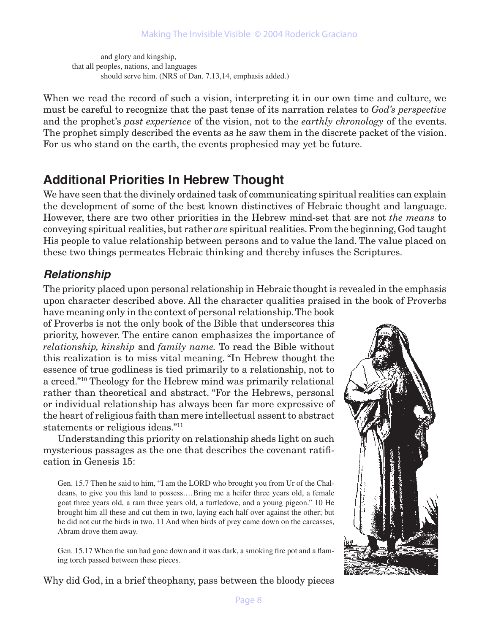and glory and kingship, that all peoples, nations, and languages should serve him. (NRS of Dan. 7.13,14, emphasis added.)

When we read the record of such a vision, interpreting it in our own time and culture, we must be careful to recognize that the past tense of its narration relates to *God's perspective* and the prophet's *past experience* of the vision, not to the *earthly chronology* of the events. The prophet simply described the events as he saw them in the discrete packet of the vision. For us who stand on the earth, the events prophesied may yet be future.

# **Additional Priorities In Hebrew Thought**

We have seen that the divinely ordained task of communicating spiritual realities can explain the development of some of the best known distinctives of Hebraic thought and language. However, there are two other priorities in the Hebrew mind-set that are not *the means* to conveying spiritual realities, but rather *are* spiritual realities. From the beginning, God taught His people to value relationship between persons and to value the land. The value placed on these two things permeates Hebraic thinking and thereby infuses the Scriptures.

# **Relationship**

The priority placed upon personal relationship in Hebraic thought is revealed in the emphasis upon character described above. All the character qualities praised in the book of Proverbs have meaning only in the context of personal relationship. The book

of Proverbs is not the only book of the Bible that underscores this priority, however. The entire canon emphasizes the importance of *relationship, kinship* and *family name.* To read the Bible without this realization is to miss vital meaning. "In Hebrew thought the essence of true godliness is tied primarily to a relationship, not to a creed."10 Theology for the Hebrew mind was primarily relational rather than theoretical and abstract. "For the Hebrews, personal or individual relationship has always been far more expressive of the heart of religious faith than mere intellectual assent to abstract statements or religious ideas."11

Understanding this priority on relationship sheds light on such mysterious passages as the one that describes the covenant ratification in Genesis 15:

Gen. 15.7 Then he said to him, "I am the LORD who brought you from Ur of the Chaldeans, to give you this land to possess.…Bring me a heifer three years old, a female goat three years old, a ram three years old, a turtledove, and a young pigeon." 10 He brought him all these and cut them in two, laying each half over against the other; but he did not cut the birds in two. 11 And when birds of prey came down on the carcasses, Abram drove them away.

Gen. 15.17 When the sun had gone down and it was dark, a smoking fire pot and a flaming torch passed between these pieces.



Why did God, in a brief theophany, pass between the bloody pieces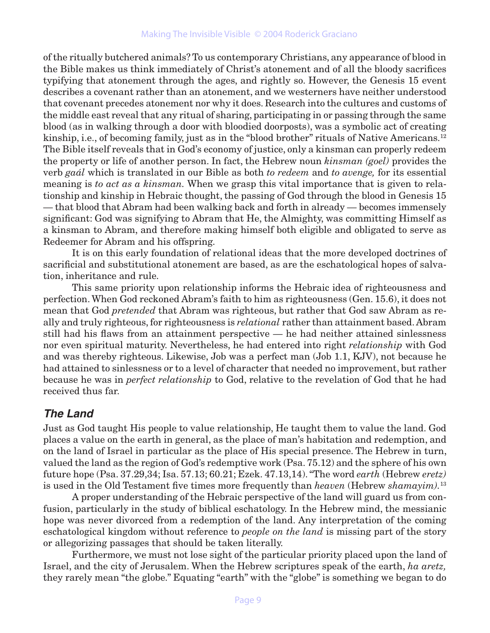of the ritually butchered animals? To us contemporary Christians, any appearance of blood in the Bible makes us think immediately of Christ's atonement and of all the bloody sacrifices typifying that atonement through the ages, and rightly so. However, the Genesis 15 event describes a covenant rather than an atonement, and we westerners have neither understood that covenant precedes atonement nor why it does. Research into the cultures and customs of the middle east reveal that any ritual of sharing, participating in or passing through the same blood (as in walking through a door with bloodied doorposts), was a symbolic act of creating kinship, i.e., of becoming family, just as in the "blood brother" rituals of Native Americans.<sup>12</sup> The Bible itself reveals that in God's economy of justice, only a kinsman can properly redeem the property or life of another person. In fact, the Hebrew noun *kinsman (goel)* provides the verb *gaál* which is translated in our Bible as both *to redeem* and *to avenge,* for its essential meaning is *to act as a kinsman.* When we grasp this vital importance that is given to relationship and kinship in Hebraic thought, the passing of God through the blood in Genesis 15 — that blood that Abram had been walking back and forth in already — becomes immensely significant: God was signifying to Abram that He, the Almighty, was committing Himself as a kinsman to Abram, and therefore making himself both eligible and obligated to serve as Redeemer for Abram and his offspring.

It is on this early foundation of relational ideas that the more developed doctrines of sacrificial and substitutional atonement are based, as are the eschatological hopes of salvation, inheritance and rule.

This same priority upon relationship informs the Hebraic idea of righteousness and perfection. When God reckoned Abram's faith to him as righteousness (Gen. 15.6), it does not mean that God *pretended* that Abram was righteous, but rather that God saw Abram as really and truly righteous, for righteousness is *relational* rather than attainment based. Abram still had his flaws from an attainment perspective — he had neither attained sinlessness nor even spiritual maturity. Nevertheless, he had entered into right *relationship* with God and was thereby righteous. Likewise, Job was a perfect man (Job 1.1, KJV), not because he had attained to sinlessness or to a level of character that needed no improvement, but rather because he was in *perfect relationship* to God, relative to the revelation of God that he had received thus far.

# **The Land**

Just as God taught His people to value relationship, He taught them to value the land. God places a value on the earth in general, as the place of man's habitation and redemption, and on the land of Israel in particular as the place of His special presence. The Hebrew in turn, valued the land as the region of God's redemptive work (Psa. 75.12) and the sphere of his own future hope (Psa. 37.29,34; Isa. 57.13; 60.21; Ezek. 47.13,14). "The word *earth* (Hebrew *eretz)* is used in the Old Testament five times more frequently than *heaven* (Hebrew *shamayim).*<sup>13</sup>

A proper understanding of the Hebraic perspective of the land will guard us from confusion, particularly in the study of biblical eschatology. In the Hebrew mind, the messianic hope was never divorced from a redemption of the land. Any interpretation of the coming eschatological kingdom without reference to *people on the land* is missing part of the story or allegorizing passages that should be taken literally.

Furthermore, we must not lose sight of the particular priority placed upon the land of Israel, and the city of Jerusalem. When the Hebrew scriptures speak of the earth, *ha aretz,* they rarely mean "the globe." Equating "earth" with the "globe" is something we began to do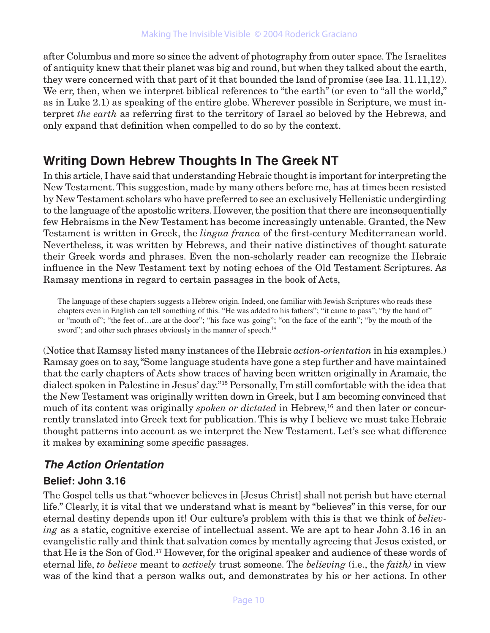after Columbus and more so since the advent of photography from outer space. The Israelites of antiquity knew that their planet was big and round, but when they talked about the earth, they were concerned with that part of it that bounded the land of promise (see Isa. 11.11,12). We err, then, when we interpret biblical references to "the earth" (or even to "all the world," as in Luke 2.1) as speaking of the entire globe. Wherever possible in Scripture, we must interpret *the earth* as referring first to the territory of Israel so beloved by the Hebrews, and only expand that definition when compelled to do so by the context.

# **Writing Down Hebrew Thoughts In The Greek NT**

In this article, I have said that understanding Hebraic thought is important for interpreting the New Testament. This suggestion, made by many others before me, has at times been resisted by New Testament scholars who have preferred to see an exclusively Hellenistic undergirding to the language of the apostolic writers. However, the position that there are inconsequentially few Hebraisms in the New Testament has become increasingly untenable. Granted, the New Testament is written in Greek, the *lingua franca* of the first-century Mediterranean world. Nevertheless, it was written by Hebrews, and their native distinctives of thought saturate their Greek words and phrases. Even the non-scholarly reader can recognize the Hebraic influence in the New Testament text by noting echoes of the Old Testament Scriptures. As Ramsay mentions in regard to certain passages in the book of Acts,

The language of these chapters suggests a Hebrew origin. Indeed, one familiar with Jewish Scriptures who reads these chapters even in English can tell something of this. "He was added to his fathers"; "it came to pass"; "by the hand of" or "mouth of"; "the feet of…are at the door"; "his face was going"; "on the face of the earth"; "by the mouth of the sword"; and other such phrases obviously in the manner of speech.<sup>14</sup>

(Notice that Ramsay listed many instances of the Hebraic *action-orientation* in his examples.) Ramsay goes on to say, "Some language students have gone a step further and have maintained that the early chapters of Acts show traces of having been written originally in Aramaic, the dialect spoken in Palestine in Jesus' day."15 Personally, I'm still comfortable with the idea that the New Testament was originally written down in Greek, but I am becoming convinced that much of its content was originally *spoken or dictated* in Hebrew,<sup>16</sup> and then later or concurrently translated into Greek text for publication. This is why I believe we must take Hebraic thought patterns into account as we interpret the New Testament. Let's see what difference it makes by examining some specific passages.

# **The Action Orientation**

# **Belief: John 3.16**

The Gospel tells us that "whoever believes in [Jesus Christ] shall not perish but have eternal life." Clearly, it is vital that we understand what is meant by "believes" in this verse, for our eternal destiny depends upon it! Our culture's problem with this is that we think of *believing* as a static, cognitive exercise of intellectual assent. We are apt to hear John 3.16 in an evangelistic rally and think that salvation comes by mentally agreeing that Jesus existed, or that He is the Son of God.17 However, for the original speaker and audience of these words of eternal life, *to believe* meant to *actively* trust someone. The *believing* (i.e., the *faith)* in view was of the kind that a person walks out, and demonstrates by his or her actions. In other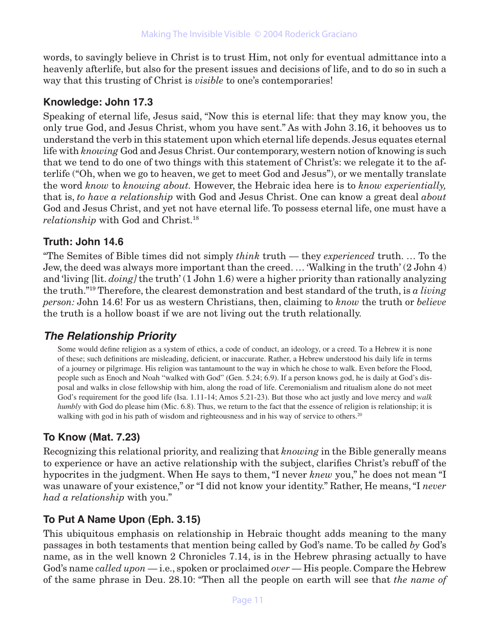words, to savingly believe in Christ is to trust Him, not only for eventual admittance into a heavenly afterlife, but also for the present issues and decisions of life, and to do so in such a way that this trusting of Christ is *visible* to one's contemporaries!

#### **Knowledge: John 17.3**

Speaking of eternal life, Jesus said, "Now this is eternal life: that they may know you, the only true God, and Jesus Christ, whom you have sent." As with John 3.16, it behooves us to understand the verb in this statement upon which eternal life depends. Jesus equates eternal life with *knowing* God and Jesus Christ. Our contemporary, western notion of knowing is such that we tend to do one of two things with this statement of Christ's: we relegate it to the afterlife ("Oh, when we go to heaven, we get to meet God and Jesus"), or we mentally translate the word *know* to *knowing about.* However, the Hebraic idea here is to *know experientially,* that is, *to have a relationship* with God and Jesus Christ. One can know a great deal *about* God and Jesus Christ, and yet not have eternal life. To possess eternal life, one must have a *relationship* with God and Christ.18

#### **Truth: John 14.6**

"The Semites of Bible times did not simply *think* truth — they *experienced* truth. … To the Jew, the deed was always more important than the creed. … 'Walking in the truth' (2 John 4) and 'living [lit. *doing]* the truth' (1 John 1.6) were a higher priority than rationally analyzing the truth."19 Therefore, the clearest demonstration and best standard of the truth, is *a living person:* John 14.6! For us as western Christians, then, claiming to *know* the truth or *believe* the truth is a hollow boast if we are not living out the truth relationally.

# **The Relationship Priority**

Some would define religion as a system of ethics, a code of conduct, an ideology, or a creed. To a Hebrew it is none of these; such definitions are misleading, deficient, or inaccurate. Rather, a Hebrew understood his daily life in terms of a journey or pilgrimage. His religion was tantamount to the way in which he chose to walk. Even before the Flood, people such as Enoch and Noah "walked with God" (Gen. 5.24; 6.9). If a person knows god, he is daily at God's disposal and walks in close fellowship with him, along the road of life. Ceremonialism and ritualism alone do not meet God's requirement for the good life (Isa. 1.11-14; Amos 5.21-23). But those who act justly and love mercy and *walk humbly* with God do please him (Mic. 6.8). Thus, we return to the fact that the essence of religion is relationship; it is walking with god in his path of wisdom and righteousness and in his way of service to others.<sup>20</sup>

#### **To Know (Mat. 7.23)**

Recognizing this relational priority, and realizing that *knowing* in the Bible generally means to experience or have an active relationship with the subject, clarifies Christ's rebuff of the hypocrites in the judgment. When He says to them, "I never *knew* you," he does not mean "I was unaware of your existence," or "I did not know your identity." Rather, He means, "I *never had a relationship* with you."

# **To Put A Name Upon (Eph. 3.15)**

This ubiquitous emphasis on relationship in Hebraic thought adds meaning to the many passages in both testaments that mention being called by God's name. To be called *by* God's name, as in the well known 2 Chronicles 7.14, is in the Hebrew phrasing actually to have God's name *called upon* — i.e., spoken or proclaimed *over* — His people. Compare the Hebrew of the same phrase in Deu. 28.10: "Then all the people on earth will see that *the name of*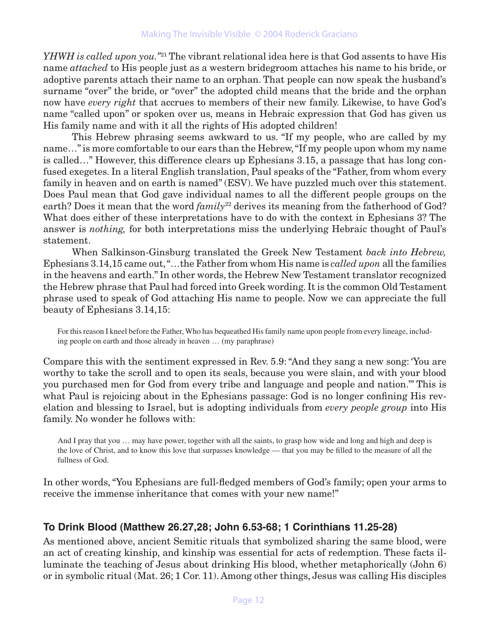*YHWH is called upon you.*"<sup>21</sup> The vibrant relational idea here is that God assents to have His name *attached* to His people just as a western bridegroom attaches his name to his bride, or adoptive parents attach their name to an orphan. That people can now speak the husband's surname "over" the bride, or "over" the adopted child means that the bride and the orphan now have *every right* that accrues to members of their new family. Likewise, to have God's name "called upon" or spoken over us, means in Hebraic expression that God has given us His family name and with it all the rights of His adopted children!

This Hebrew phrasing seems awkward to us. "If my people, who are called by my name…" is more comfortable to our ears than the Hebrew, "If my people upon whom my name is called…" However, this difference clears up Ephesians 3.15, a passage that has long confused exegetes. In a literal English translation, Paul speaks of the "Father, from whom every family in heaven and on earth is named" (ESV). We have puzzled much over this statement. Does Paul mean that God gave individual names to all the different people groups on the earth? Does it mean that the word *family*<sup>22</sup> derives its meaning from the fatherhood of God? What does either of these interpretations have to do with the context in Ephesians 3? The answer is *nothing,* for both interpretations miss the underlying Hebraic thought of Paul's statement.

When Salkinson-Ginsburg translated the Greek New Testament *back into Hebrew,* Ephesians 3.14,15 came out, "…the Father from whom His name is *called upon* all the families in the heavens and earth." In other words, the Hebrew New Testament translator recognized the Hebrew phrase that Paul had forced into Greek wording. It is the common Old Testament phrase used to speak of God attaching His name to people. Now we can appreciate the full beauty of Ephesians 3.14,15:

For this reason I kneel before the Father, Who has bequeathed His family name upon people from every lineage, including people on earth and those already in heaven … (my paraphrase)

Compare this with the sentiment expressed in Rev. 5.9: "And they sang a new song: 'You are worthy to take the scroll and to open its seals, because you were slain, and with your blood you purchased men for God from every tribe and language and people and nation.'" This is what Paul is rejoicing about in the Ephesians passage: God is no longer confining His revelation and blessing to Israel, but is adopting individuals from *every people group* into His family. No wonder he follows with:

And I pray that you ... may have power, together with all the saints, to grasp how wide and long and high and deep is the love of Christ, and to know this love that surpasses knowledge — that you may be filled to the measure of all the fullness of God.

In other words, "You Ephesians are full-fledged members of God's family; open your arms to receive the immense inheritance that comes with your new name!"

# **To Drink Blood (Matthew 26.27,28; John 6.53-68; 1 Corinthians 11.25-28)**

As mentioned above, ancient Semitic rituals that symbolized sharing the same blood, were an act of creating kinship, and kinship was essential for acts of redemption. These facts illuminate the teaching of Jesus about drinking His blood, whether metaphorically (John 6) or in symbolic ritual (Mat. 26; 1 Cor. 11). Among other things, Jesus was calling His disciples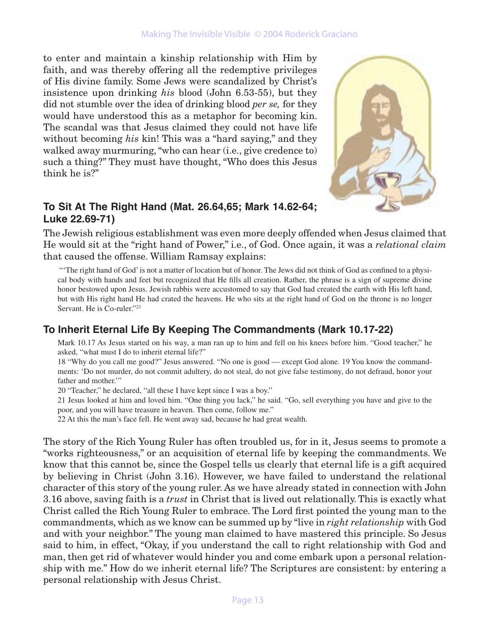#### Making The Invisible Visible © 2004 Roderick Graciano

to enter and maintain a kinship relationship with Him by faith, and was thereby offering all the redemptive privileges of His divine family. Some Jews were scandalized by Christ's insistence upon drinking *his* blood (John 6.53-55), but they did not stumble over the idea of drinking blood *per se,* for they would have understood this as a metaphor for becoming kin. The scandal was that Jesus claimed they could not have life without becoming *his* kin! This was a "hard saying," and they walked away murmuring, "who can hear (i.e., give credence to) such a thing?" They must have thought, "Who does this Jesus think he is?"



# **To Sit At The Right Hand (Mat. 26.64,65; Mark 14.62-64; Luke 22.69-71)**

The Jewish religious establishment was even more deeply offended when Jesus claimed that He would sit at the "right hand of Power," i.e., of God. Once again, it was a *relational claim* that caused the offense. William Ramsay explains:

 "'The right hand of God' is not a matter of location but of honor. The Jews did not think of God as confined to a physical body with hands and feet but recognized that He fills all creation. Rather, the phrase is a sign of supreme divine honor bestowed upon Jesus. Jewish rabbis were accustomed to say that God had created the earth with His left hand, but with His right hand He had crated the heavens. He who sits at the right hand of God on the throne is no longer Servant. He is Co-ruler."23

# **To Inherit Eternal Life By Keeping The Commandments (Mark 10.17-22)**

Mark 10.17 As Jesus started on his way, a man ran up to him and fell on his knees before him. "Good teacher," he asked, "what must I do to inherit eternal life?"

18 "Why do you call me good?" Jesus answered. "No one is good — except God alone. 19 You know the commandments: 'Do not murder, do not commit adultery, do not steal, do not give false testimony, do not defraud, honor your father and mother.'"

20 "Teacher," he declared, "all these I have kept since I was a boy."

21 Jesus looked at him and loved him. "One thing you lack," he said. "Go, sell everything you have and give to the poor, and you will have treasure in heaven. Then come, follow me."

22 At this the man's face fell. He went away sad, because he had great wealth.

The story of the Rich Young Ruler has often troubled us, for in it, Jesus seems to promote a "works righteousness," or an acquisition of eternal life by keeping the commandments. We know that this cannot be, since the Gospel tells us clearly that eternal life is a gift acquired by believing in Christ (John 3.16). However, we have failed to understand the relational character of this story of the young ruler. As we have already stated in connection with John 3.16 above, saving faith is a *trust* in Christ that is lived out relationally. This is exactly what Christ called the Rich Young Ruler to embrace. The Lord first pointed the young man to the commandments, which as we know can be summed up by "live in *right relationship* with God and with your neighbor." The young man claimed to have mastered this principle. So Jesus said to him, in effect, "Okay, if you understand the call to right relationship with God and man, then get rid of whatever would hinder you and come embark upon a personal relationship with me." How do we inherit eternal life? The Scriptures are consistent: by entering a personal relationship with Jesus Christ.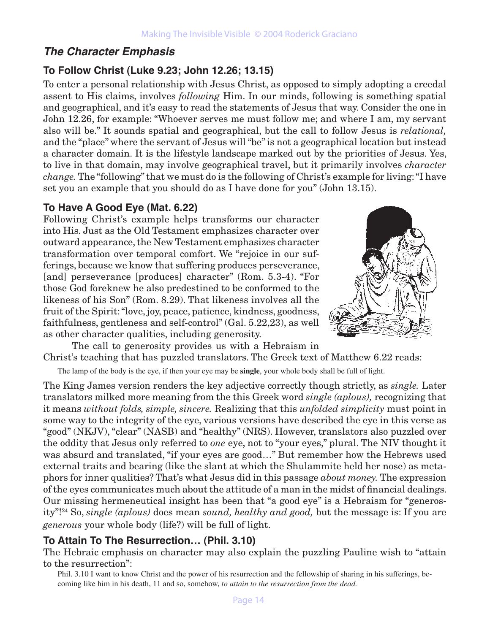# **The Character Emphasis**

#### **To Follow Christ (Luke 9.23; John 12.26; 13.15)**

To enter a personal relationship with Jesus Christ, as opposed to simply adopting a creedal assent to His claims, involves *following* Him. In our minds, following is something spatial and geographical, and it's easy to read the statements of Jesus that way. Consider the one in John 12.26, for example: "Whoever serves me must follow me; and where I am, my servant also will be." It sounds spatial and geographical, but the call to follow Jesus is *relational,* and the "place" where the servant of Jesus will "be" is not a geographical location but instead a character domain. It is the lifestyle landscape marked out by the priorities of Jesus. Yes, to live in that domain, may involve geographical travel, but it primarily involves *character change.* The "following" that we must do is the following of Christ's example for living: "I have set you an example that you should do as I have done for you" (John 13.15).

#### **To Have A Good Eye (Mat. 6.22)**

Following Christ's example helps transforms our character into His. Just as the Old Testament emphasizes character over outward appearance, the New Testament emphasizes character transformation over temporal comfort. We "rejoice in our sufferings, because we know that suffering produces perseverance, [and] perseverance [produces] character" (Rom. 5.3-4). "For those God foreknew he also predestined to be conformed to the likeness of his Son" (Rom. 8.29). That likeness involves all the fruit of the Spirit: "love, joy, peace, patience, kindness, goodness, faithfulness, gentleness and self-control" (Gal. 5.22,23), as well as other character qualities, including generosity.



The call to generosity provides us with a Hebraism in Christ's teaching that has puzzled translators. The Greek text of Matthew 6.22 reads:

The lamp of the body is the eye, if then your eye may be **single**, your whole body shall be full of light.

The King James version renders the key adjective correctly though strictly, as *single.* Later translators milked more meaning from the this Greek word *single (aplous),* recognizing that it means *without folds, simple, sincere.* Realizing that this *unfolded simplicity* must point in some way to the integrity of the eye, various versions have described the eye in this verse as "good" (NKJV), "clear" (NASB) and "healthy" (NRS). However, translators also puzzled over the oddity that Jesus only referred to *one* eye, not to "your eyes," plural. The NIV thought it was absurd and translated, "if your eyes are good…" But remember how the Hebrews used external traits and bearing (like the slant at which the Shulammite held her nose) as metaphors for inner qualities? That's what Jesus did in this passage *about money.* The expression of the eyes communicates much about the attitude of a man in the midst of financial dealings. Our missing hermeneutical insight has been that "a good eye" is a Hebraism for "generosity"!24 So, *single (aplous)* does mean *sound, healthy and good,* but the message is: If you are *generous* your whole body (life?) will be full of light.

#### **To Attain To The Resurrection… (Phil. 3.10)**

The Hebraic emphasis on character may also explain the puzzling Pauline wish to "attain to the resurrection":

Phil. 3.10 I want to know Christ and the power of his resurrection and the fellowship of sharing in his sufferings, becoming like him in his death, 11 and so, somehow, *to attain to the resurrection from the dead.*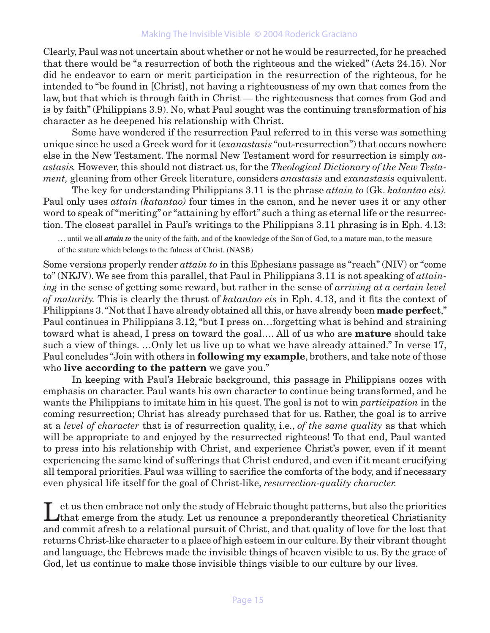#### Making The Invisible Visible © 2004 Roderick Graciano

Clearly, Paul was not uncertain about whether or not he would be resurrected, for he preached that there would be "a resurrection of both the righteous and the wicked" (Acts 24.15). Nor did he endeavor to earn or merit participation in the resurrection of the righteous, for he intended to "be found in [Christ], not having a righteousness of my own that comes from the law, but that which is through faith in Christ — the righteousness that comes from God and is by faith" (Philippians 3.9). No, what Paul sought was the continuing transformation of his character as he deepened his relationship with Christ.

Some have wondered if the resurrection Paul referred to in this verse was something unique since he used a Greek word for it (*exanastasis* "out-resurrection") that occurs nowhere else in the New Testament. The normal New Testament word for resurrection is simply *anastasis.* However, this should not distract us, for the *Theological Dictionary of the New Testament,* gleaning from other Greek literature, considers *anastasis* and *exanastasis* equivalent.

The key for understanding Philippians 3.11 is the phrase *attain to* (Gk. *katantao eis).*  Paul only uses *attain (katantao)* four times in the canon, and he never uses it or any other word to speak of "meriting" or "attaining by effort" such a thing as eternal life or the resurrection. The closest parallel in Paul's writings to the Philippians 3.11 phrasing is in Eph. 4.13:

… until we all *attain to* the unity of the faith, and of the knowledge of the Son of God, to a mature man, to the measure of the stature which belongs to the fulness of Christ. (NASB)

Some versions properly render *attain to* in this Ephesians passage as "reach" (NIV) or "come to" (NKJV). We see from this parallel, that Paul in Philippians 3.11 is not speaking of *attaining* in the sense of getting some reward, but rather in the sense of *arriving at a certain level of maturity.* This is clearly the thrust of *katantao eis* in Eph. 4.13, and it fits the context of Philippians 3. "Not that I have already obtained all this, or have already been **made perfect**," Paul continues in Philippians 3.12, "but I press on…forgetting what is behind and straining toward what is ahead, I press on toward the goal…. All of us who are **mature** should take such a view of things. …Only let us live up to what we have already attained." In verse 17, Paul concludes "Join with others in **following my example**, brothers, and take note of those who **live according to the pattern** we gave you."

In keeping with Paul's Hebraic background, this passage in Philippians oozes with emphasis on character. Paul wants his own character to continue being transformed, and he wants the Philippians to imitate him in his quest. The goal is not to win *participation* in the coming resurrection; Christ has already purchased that for us. Rather, the goal is to arrive at a *level of character* that is of resurrection quality, i.e., *of the same quality* as that which will be appropriate to and enjoyed by the resurrected righteous! To that end, Paul wanted to press into his relationship with Christ, and experience Christ's power, even if it meant experiencing the same kind of sufferings that Christ endured, and even if it meant crucifying all temporal priorities. Paul was willing to sacrifice the comforts of the body, and if necessary even physical life itself for the goal of Christ-like, *resurrection-quality character.*

I et us then embrace not only the study of Hebraic thought patterns, but also the priorities that emerge from the study. Let us renounce a preponderantly theoretical Christianity and commit afresh to a relational pursuit of Christ, and that quality of love for the lost that returns Christ-like character to a place of high esteem in our culture. By their vibrant thought and language, the Hebrews made the invisible things of heaven visible to us. By the grace of God, let us continue to make those invisible things visible to our culture by our lives.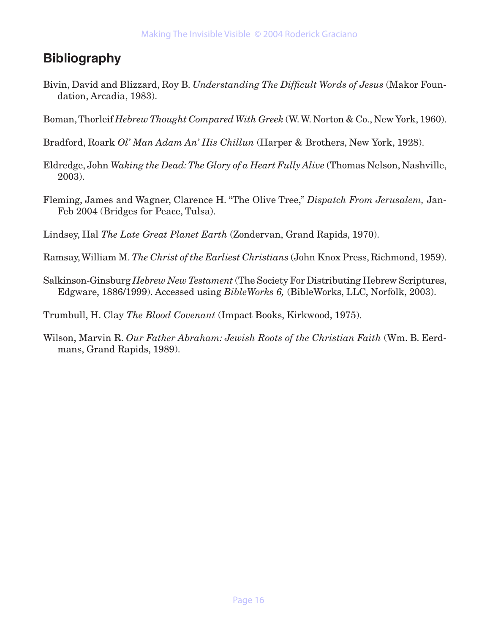# **Bibliography**

- Bivin, David and Blizzard, Roy B. *Understanding The Difficult Words of Jesus* (Makor Foundation, Arcadia, 1983).
- Boman, Thorleif *Hebrew Thought Compared With Greek* (W. W. Norton & Co., New York, 1960).
- Bradford, Roark *Ol' Man Adam An' His Chillun* (Harper & Brothers, New York, 1928).
- Eldredge, John *Waking the Dead: The Glory of a Heart Fully Alive* (Thomas Nelson, Nashville, 2003).
- Fleming, James and Wagner, Clarence H. "The Olive Tree," *Dispatch From Jerusalem,* Jan-Feb 2004 (Bridges for Peace, Tulsa).
- Lindsey, Hal *The Late Great Planet Earth* (Zondervan, Grand Rapids, 1970).
- Ramsay, William M. *The Christ of the Earliest Christians* (John Knox Press, Richmond, 1959).
- Salkinson-Ginsburg *Hebrew New Testament* (The Society For Distributing Hebrew Scriptures, Edgware, 1886/1999). Accessed using *BibleWorks 6,* (BibleWorks, LLC, Norfolk, 2003).
- Trumbull, H. Clay *The Blood Covenant* (Impact Books, Kirkwood, 1975).
- Wilson, Marvin R. *Our Father Abraham: Jewish Roots of the Christian Faith* (Wm. B. Eerdmans, Grand Rapids, 1989).